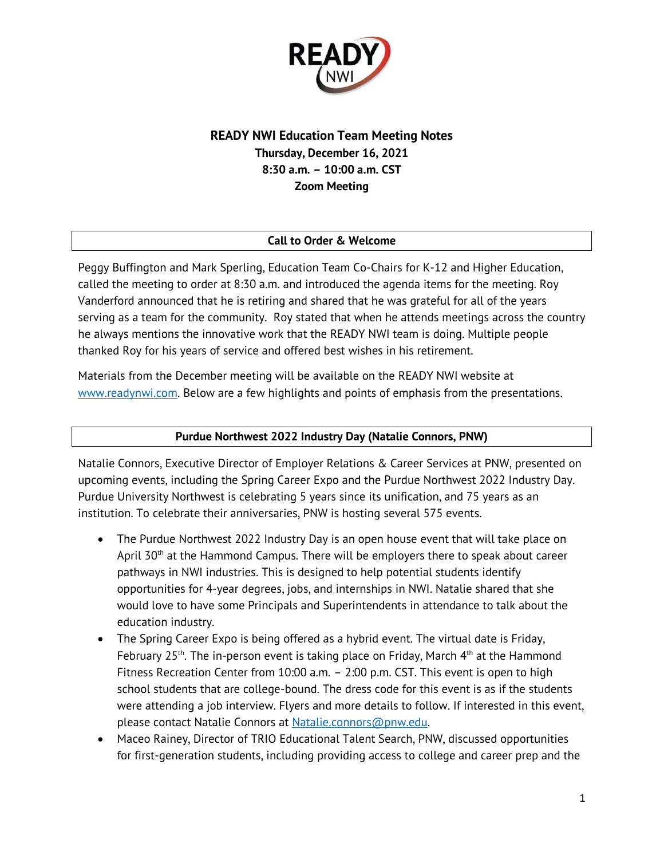

# **READY NWI Education Team Meeting Notes Thursday, December 16, 2021 8:30 a.m. – 10:00 a.m. CST Zoom Meeting**

### **Call to Order & Welcome**

Peggy Buffington and Mark Sperling, Education Team Co-Chairs for K-12 and Higher Education, called the meeting to order at 8:30 a.m. and introduced the agenda items for the meeting. Roy Vanderford announced that he is retiring and shared that he was grateful for all of the years serving as a team for the community. Roy stated that when he attends meetings across the country he always mentions the innovative work that the READY NWI team is doing. Multiple people thanked Roy for his years of service and offered best wishes in his retirement.

Materials from the December meeting will be available on the READY NWI website at [www.readynwi.com.](http://www.readynwi.com/) Below are a few highlights and points of emphasis from the presentations.

#### **Purdue Northwest 2022 Industry Day (Natalie Connors, PNW)**

Natalie Connors, Executive Director of Employer Relations & Career Services at PNW, presented on upcoming events, including the Spring Career Expo and the Purdue Northwest 2022 Industry Day. Purdue University Northwest is celebrating 5 years since its unification, and 75 years as an institution. To celebrate their anniversaries, PNW is hosting several 575 events.

- The Purdue Northwest 2022 Industry Day is an open house event that will take place on April 30<sup>th</sup> at the Hammond Campus. There will be employers there to speak about career pathways in NWI industries. This is designed to help potential students identify opportunities for 4-year degrees, jobs, and internships in NWI. Natalie shared that she would love to have some Principals and Superintendents in attendance to talk about the education industry.
- The Spring Career Expo is being offered as a hybrid event. The virtual date is Friday, February 25<sup>th</sup>. The in-person event is taking place on Friday, March  $4<sup>th</sup>$  at the Hammond Fitness Recreation Center from 10:00 a.m. – 2:00 p.m. CST. This event is open to high school students that are college-bound. The dress code for this event is as if the students were attending a job interview. Flyers and more details to follow. If interested in this event, please contact Natalie Connors at [Natalie.connors@pnw.edu.](mailto:Natalie.connors@pnw.edu)
- Maceo Rainey, Director of TRIO Educational Talent Search, PNW, discussed opportunities for first-generation students, including providing access to college and career prep and the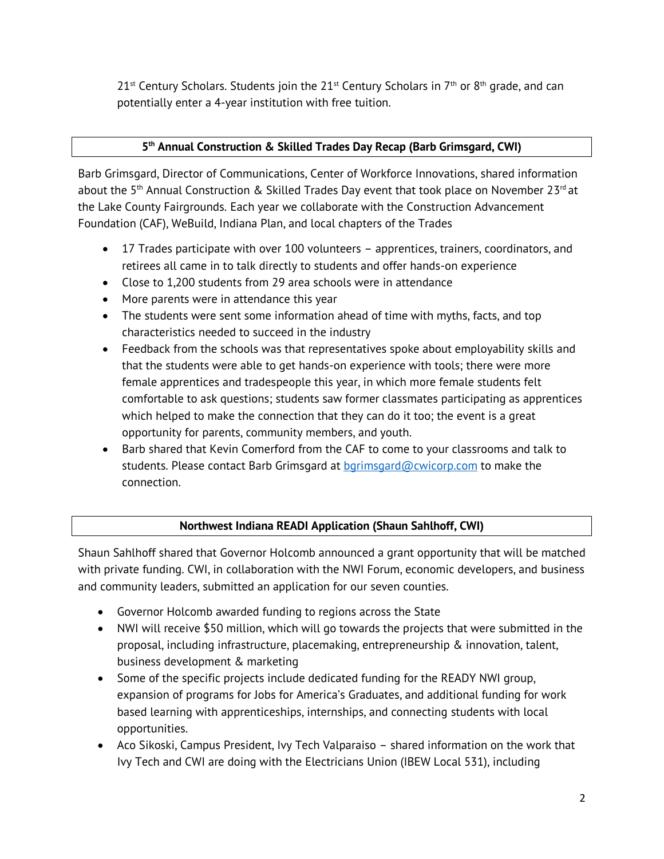$21^{st}$  Century Scholars. Students join the  $21^{st}$  Century Scholars in  $7^{th}$  or  $8^{th}$  grade, and can potentially enter a 4-year institution with free tuition.

## **5 th Annual Construction & Skilled Trades Day Recap (Barb Grimsgard, CWI)**

Barb Grimsgard, Director of Communications, Center of Workforce Innovations, shared information about the 5<sup>th</sup> Annual Construction & Skilled Trades Day event that took place on November 23<sup>rd</sup> at the Lake County Fairgrounds. Each year we collaborate with the Construction Advancement Foundation (CAF), WeBuild, Indiana Plan, and local chapters of the Trades

- 17 Trades participate with over 100 volunteers apprentices, trainers, coordinators, and retirees all came in to talk directly to students and offer hands-on experience
- Close to 1,200 students from 29 area schools were in attendance
- More parents were in attendance this year
- The students were sent some information ahead of time with myths, facts, and top characteristics needed to succeed in the industry
- Feedback from the schools was that representatives spoke about employability skills and that the students were able to get hands-on experience with tools; there were more female apprentices and tradespeople this year, in which more female students felt comfortable to ask questions; students saw former classmates participating as apprentices which helped to make the connection that they can do it too; the event is a great opportunity for parents, community members, and youth.
- Barb shared that Kevin Comerford from the CAF to come to your classrooms and talk to students. Please contact Barb Grimsgard at [bgrimsgard@cwicorp.com](mailto:bgrimsgard@cwicorp.com) to make the connection.

## **Northwest Indiana READI Application (Shaun Sahlhoff, CWI)**

Shaun Sahlhoff shared that Governor Holcomb announced a grant opportunity that will be matched with private funding. CWI, in collaboration with the NWI Forum, economic developers, and business and community leaders, submitted an application for our seven counties.

- Governor Holcomb awarded funding to regions across the State
- NWI will receive \$50 million, which will go towards the projects that were submitted in the proposal, including infrastructure, placemaking, entrepreneurship & innovation, talent, business development & marketing
- Some of the specific projects include dedicated funding for the READY NWI group, expansion of programs for Jobs for America's Graduates, and additional funding for work based learning with apprenticeships, internships, and connecting students with local opportunities.
- Aco Sikoski, Campus President, Ivy Tech Valparaiso shared information on the work that Ivy Tech and CWI are doing with the Electricians Union (IBEW Local 531), including